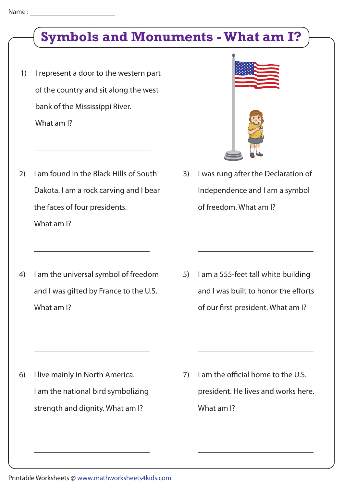# **Symbols and Monuments - What am I?**

- 1) I represent a door to the western part of the country and sit along the west bank of the Mississippi River. What am I?
- 2) I am found in the Black Hills of South Dakota. I am a rock carving and I bear the faces of four presidents. What am I?
- 4) I am the universal symbol of freedom and I was gifted by France to the U.S. What am I?

3) I was rung after the Declaration of Independence and I am a symbol of freedom. What am I?

5) I am a 555-feet tall white building and I was built to honor the efforts of our first president. What am I?

- 6) I live mainly in North America. I am the national bird symbolizing strength and dignity. What am I?
- 7) I am the official home to the U.S. president. He lives and works here. What am I?

Printable Worksheets @ www.mathworksheets4kids.com